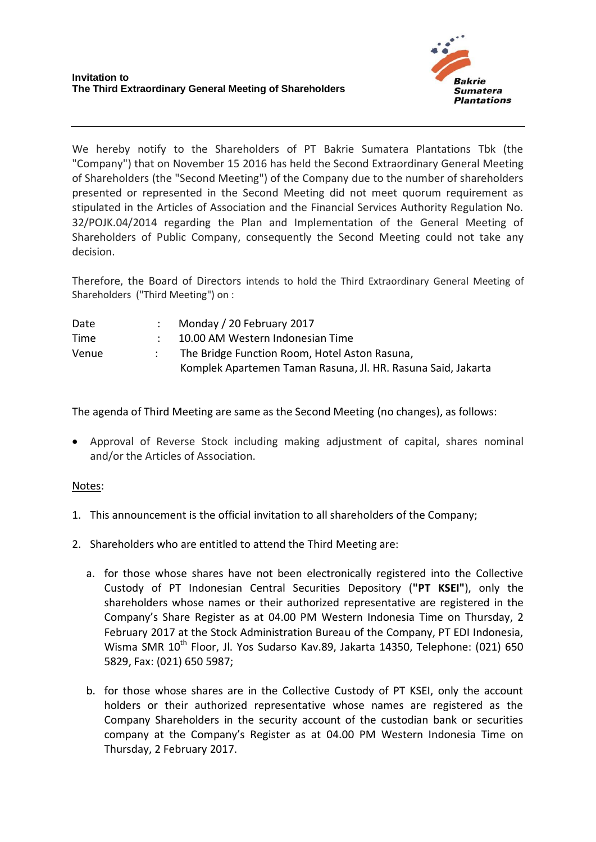

We hereby notify to the Shareholders of PT Bakrie Sumatera Plantations Tbk (the "Company") that on November 15 2016 has held the Second Extraordinary General Meeting of Shareholders (the "Second Meeting") of the Company due to the number of shareholders presented or represented in the Second Meeting did not meet quorum requirement as stipulated in the Articles of Association and the Financial Services Authority Regulation No. 32/POJK.04/2014 regarding the Plan and Implementation of the General Meeting of Shareholders of Public Company, consequently the Second Meeting could not take any decision.

Therefore, the Board of Directors intends to hold the Third Extraordinary General Meeting of Shareholders ("Third Meeting") on :

| Date  | Monday / 20 February 2017                                    |
|-------|--------------------------------------------------------------|
| Time  | 10.00 AM Western Indonesian Time                             |
| Venue | The Bridge Function Room, Hotel Aston Rasuna,                |
|       | Komplek Apartemen Taman Rasuna, Jl. HR. Rasuna Said, Jakarta |

The agenda of Third Meeting are same as the Second Meeting (no changes), as follows:

 Approval of Reverse Stock including making adjustment of capital, shares nominal and/or the Articles of Association.

## Notes:

- 1. This announcement is the official invitation to all shareholders of the Company;
- 2. Shareholders who are entitled to attend the Third Meeting are:
	- a. for those whose shares have not been electronically registered into the Collective Custody of PT Indonesian Central Securities Depository (**"PT KSEI"**), only the shareholders whose names or their authorized representative are registered in the Company's Share Register as at 04.00 PM Western Indonesia Time on Thursday, 2 February 2017 at the Stock Administration Bureau of the Company, PT EDI Indonesia, Wisma SMR 10<sup>th</sup> Floor, Jl. Yos Sudarso Kav.89, Jakarta 14350, Telephone: (021) 650 5829, Fax: (021) 650 5987;
	- b. for those whose shares are in the Collective Custody of PT KSEI, only the account holders or their authorized representative whose names are registered as the Company Shareholders in the security account of the custodian bank or securities company at the Company's Register as at 04.00 PM Western Indonesia Time on Thursday, 2 February 2017.